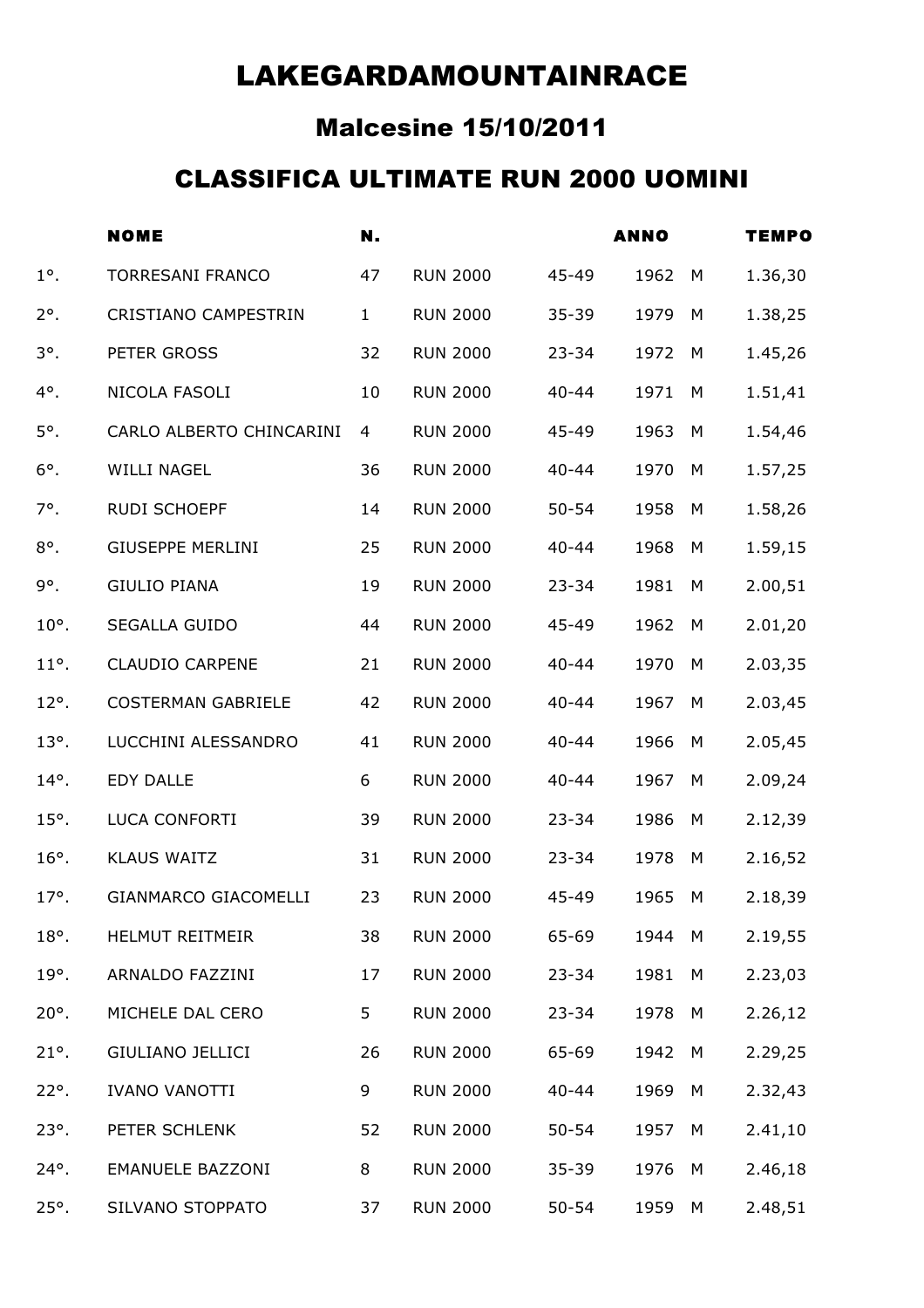### Malcesine 15/10/2011

#### CLASSIFICA ULTIMATE RUN 2000 UOMINI

|              | <b>NOME</b>                 | N.           |                 |           | <b>ANNO</b> |   | <b>TEMPO</b> |
|--------------|-----------------------------|--------------|-----------------|-----------|-------------|---|--------------|
| $1^\circ$ .  | <b>TORRESANI FRANCO</b>     | 47           | <b>RUN 2000</b> | 45-49     | 1962        | M | 1.36,30      |
| $2^\circ$ .  | <b>CRISTIANO CAMPESTRIN</b> | $\mathbf{1}$ | <b>RUN 2000</b> | $35 - 39$ | 1979        | M | 1.38,25      |
| $3^\circ$ .  | PETER GROSS                 | 32           | <b>RUN 2000</b> | $23 - 34$ | 1972        | M | 1.45,26      |
| 4°.          | NICOLA FASOLI               | 10           | <b>RUN 2000</b> | $40 - 44$ | 1971        | M | 1.51,41      |
| 5°.          | CARLO ALBERTO CHINCARINI    | 4            | <b>RUN 2000</b> | 45-49     | 1963        | M | 1.54,46      |
| $6^\circ$ .  | <b>WILLI NAGEL</b>          | 36           | <b>RUN 2000</b> | $40 - 44$ | 1970        | M | 1.57,25      |
| 7°.          | <b>RUDI SCHOEPF</b>         | 14           | <b>RUN 2000</b> | $50 - 54$ | 1958        | M | 1.58,26      |
| $8^\circ$ .  | <b>GIUSEPPE MERLINI</b>     | 25           | <b>RUN 2000</b> | $40 - 44$ | 1968        | M | 1.59,15      |
| 9°.          | <b>GIULIO PIANA</b>         | 19           | <b>RUN 2000</b> | $23 - 34$ | 1981        | M | 2.00,51      |
| $10^\circ$ . | SEGALLA GUIDO               | 44           | <b>RUN 2000</b> | 45-49     | 1962        | M | 2.01,20      |
| $11^\circ$ . | <b>CLAUDIO CARPENE</b>      | 21           | <b>RUN 2000</b> | $40 - 44$ | 1970        | M | 2.03,35      |
| $12^\circ$ . | <b>COSTERMAN GABRIELE</b>   | 42           | <b>RUN 2000</b> | $40 - 44$ | 1967        | M | 2.03,45      |
| $13^\circ$ . | LUCCHINI ALESSANDRO         | 41           | <b>RUN 2000</b> | $40 - 44$ | 1966        | M | 2.05,45      |
| $14^\circ$ . | <b>EDY DALLE</b>            | 6            | <b>RUN 2000</b> | $40 - 44$ | 1967        | M | 2.09,24      |
| $15°$ .      | LUCA CONFORTI               | 39           | <b>RUN 2000</b> | $23 - 34$ | 1986        | M | 2.12,39      |
| $16^\circ$ . | <b>KLAUS WAITZ</b>          | 31           | <b>RUN 2000</b> | $23 - 34$ | 1978        | M | 2.16,52      |
| $17^\circ$ . | <b>GIANMARCO GIACOMELLI</b> | 23           | <b>RUN 2000</b> | 45-49     | 1965        | M | 2.18,39      |
| $18^\circ$ . | HELMUT REITMEIR             | 38           | <b>RUN 2000</b> | 65-69     | 1944 M      |   | 2.19,55      |
| $19^\circ$ . | ARNALDO FAZZINI             | 17           | <b>RUN 2000</b> | $23 - 34$ | 1981        | M | 2.23,03      |
| $20^\circ$ . | MICHELE DAL CERO            | 5            | <b>RUN 2000</b> | $23 - 34$ | 1978        | M | 2.26,12      |
| $21^\circ$ . | <b>GIULIANO JELLICI</b>     | 26           | <b>RUN 2000</b> | 65-69     | 1942        | M | 2.29,25      |
| $22^\circ$ . | <b>IVANO VANOTTI</b>        | 9            | <b>RUN 2000</b> | $40 - 44$ | 1969        | M | 2.32,43      |
| $23^\circ$ . | PETER SCHLENK               | 52           | <b>RUN 2000</b> | $50 - 54$ | 1957        | M | 2.41,10      |
| $24^\circ$ . | <b>EMANUELE BAZZONI</b>     | 8            | <b>RUN 2000</b> | $35 - 39$ | 1976        | M | 2.46,18      |
| $25^\circ$ . | SILVANO STOPPATO            | 37           | <b>RUN 2000</b> | $50 - 54$ | 1959        | M | 2.48,51      |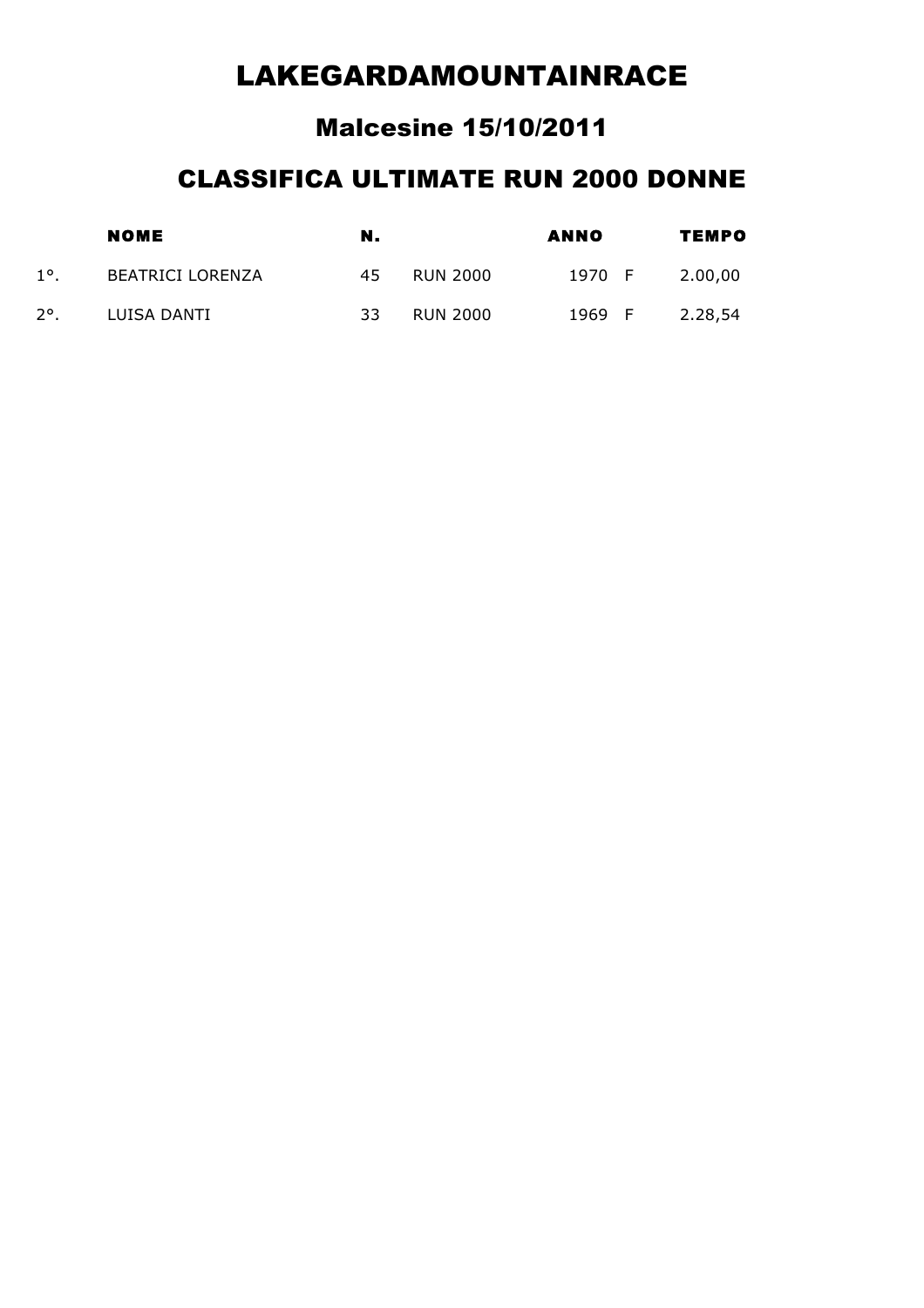#### Malcesine 15/10/2011

#### CLASSIFICA ULTIMATE RUN 2000 DONNE

|               | <b>NOME</b>             | N. |                 | ANNO   | TEMPO |         |  |
|---------------|-------------------------|----|-----------------|--------|-------|---------|--|
| $1^{\circ}$   | <b>BEATRICI LORENZA</b> | 45 | <b>RUN 2000</b> | 1970 F |       | 2.00,00 |  |
| $2^{\circ}$ . | LUISA DANTI             | 33 | <b>RUN 2000</b> | 1969 F |       | 2.28,54 |  |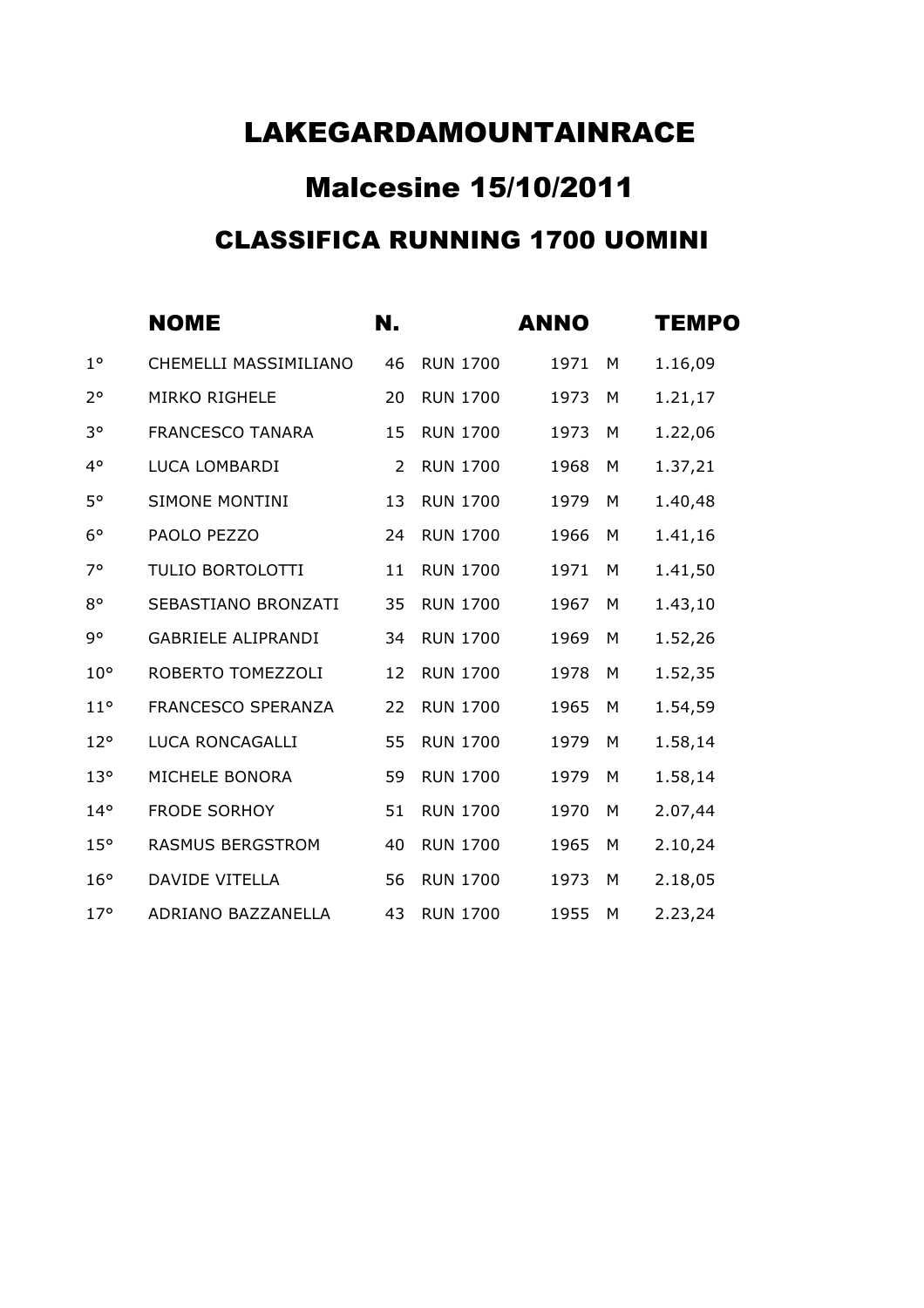# Malcesine 15/10/2011 CLASSIFICA RUNNING 1700 UOMINI

|                 | <b>NOME</b>               | N. |                 | <b>ANNO</b> |   | <b>TEMPO</b> |
|-----------------|---------------------------|----|-----------------|-------------|---|--------------|
| $1^{\circ}$     | CHEMELLI MASSIMILIANO     | 46 | <b>RUN 1700</b> | 1971        | M | 1.16,09      |
| $2^{\circ}$     | <b>MIRKO RIGHELE</b>      | 20 | <b>RUN 1700</b> | 1973        | M | 1.21,17      |
| $3^{\circ}$     | <b>FRANCESCO TANARA</b>   | 15 | <b>RUN 1700</b> | 1973        | M | 1.22,06      |
| $4^{\circ}$     | LUCA LOMBARDI             | 2  | <b>RUN 1700</b> | 1968        | M | 1.37,21      |
| $5^{\circ}$     | <b>SIMONE MONTINI</b>     | 13 | <b>RUN 1700</b> | 1979        | M | 1.40,48      |
| $6^{\circ}$     | PAOLO PEZZO               | 24 | <b>RUN 1700</b> | 1966        | M | 1.41,16      |
| $7^\circ$       | TULIO BORTOLOTTI          | 11 | <b>RUN 1700</b> | 1971        | M | 1.41,50      |
| $8^{\circ}$     | SEBASTIANO BRONZATI       | 35 | <b>RUN 1700</b> | 1967        | M | 1.43,10      |
| 9°              | <b>GABRIELE ALIPRANDI</b> | 34 | <b>RUN 1700</b> | 1969        | M | 1.52,26      |
| $10^{\circ}$    | ROBERTO TOMEZZOLI         | 12 | <b>RUN 1700</b> | 1978        | M | 1.52,35      |
| $11^{\circ}$    | <b>FRANCESCO SPERANZA</b> | 22 | <b>RUN 1700</b> | 1965        | M | 1.54,59      |
| $12^{\circ}$    | LUCA RONCAGALLI           | 55 | <b>RUN 1700</b> | 1979        | M | 1.58,14      |
| 13 <sup>o</sup> | MICHELE BONORA            | 59 | <b>RUN 1700</b> | 1979        | M | 1.58,14      |
| $14^{\circ}$    | <b>FRODE SORHOY</b>       | 51 | <b>RUN 1700</b> | 1970        | M | 2.07,44      |
| 15°             | <b>RASMUS BERGSTROM</b>   | 40 | <b>RUN 1700</b> | 1965        | M | 2.10,24      |
| 16°             | <b>DAVIDE VITELLA</b>     | 56 | <b>RUN 1700</b> | 1973        | M | 2.18,05      |
| $17^\circ$      | ADRIANO BAZZANELLA        | 43 | <b>RUN 1700</b> | 1955        | M | 2.23,24      |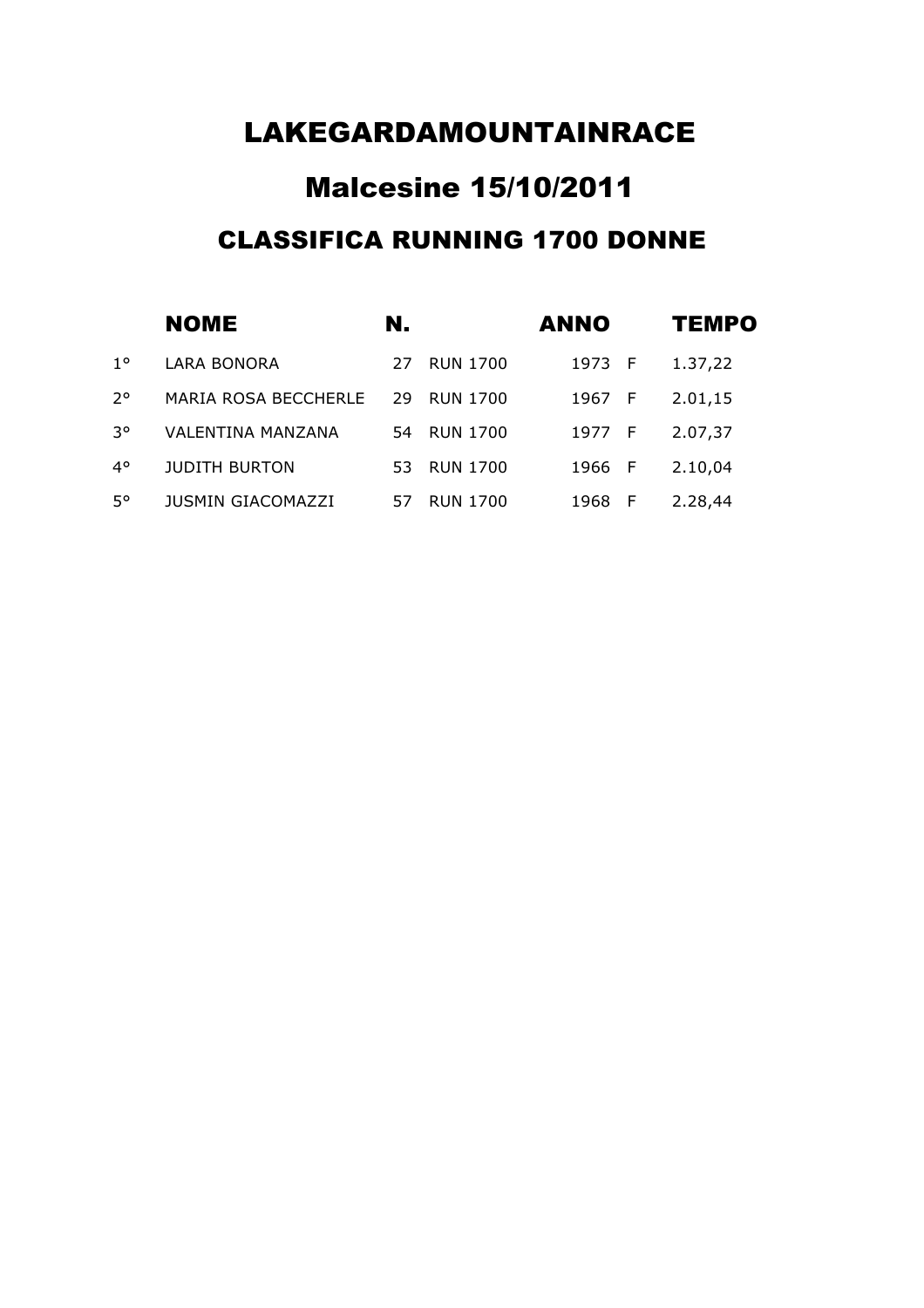# Malcesine 15/10/2011 CLASSIFICA RUNNING 1700 DONNE

|             | <b>NOME</b>                 | N.  |                 | <b>ANNO</b> |     | <b>TEMPO</b> |
|-------------|-----------------------------|-----|-----------------|-------------|-----|--------------|
| $1^{\circ}$ | <b>LARA BONORA</b>          | 27  | <b>RUN 1700</b> | 1973 F      |     | 1.37,22      |
| $2^{\circ}$ | <b>MARIA ROSA BECCHERLE</b> | 29  | <b>RUN 1700</b> | 1967 F      |     | 2.01,15      |
| 30          | VALENTINA MANZANA           | 54  | <b>RUN 1700</b> | 1977 F      |     | 2.07,37      |
| $4^{\circ}$ | <b>JUDITH BURTON</b>        | 53. | <b>RUN 1700</b> | 1966 F      |     | 2.10,04      |
| $5^{\circ}$ | <b>JUSMIN GIACOMAZZI</b>    | 57  | <b>RUN 1700</b> | 1968        | - F | 2.28,44      |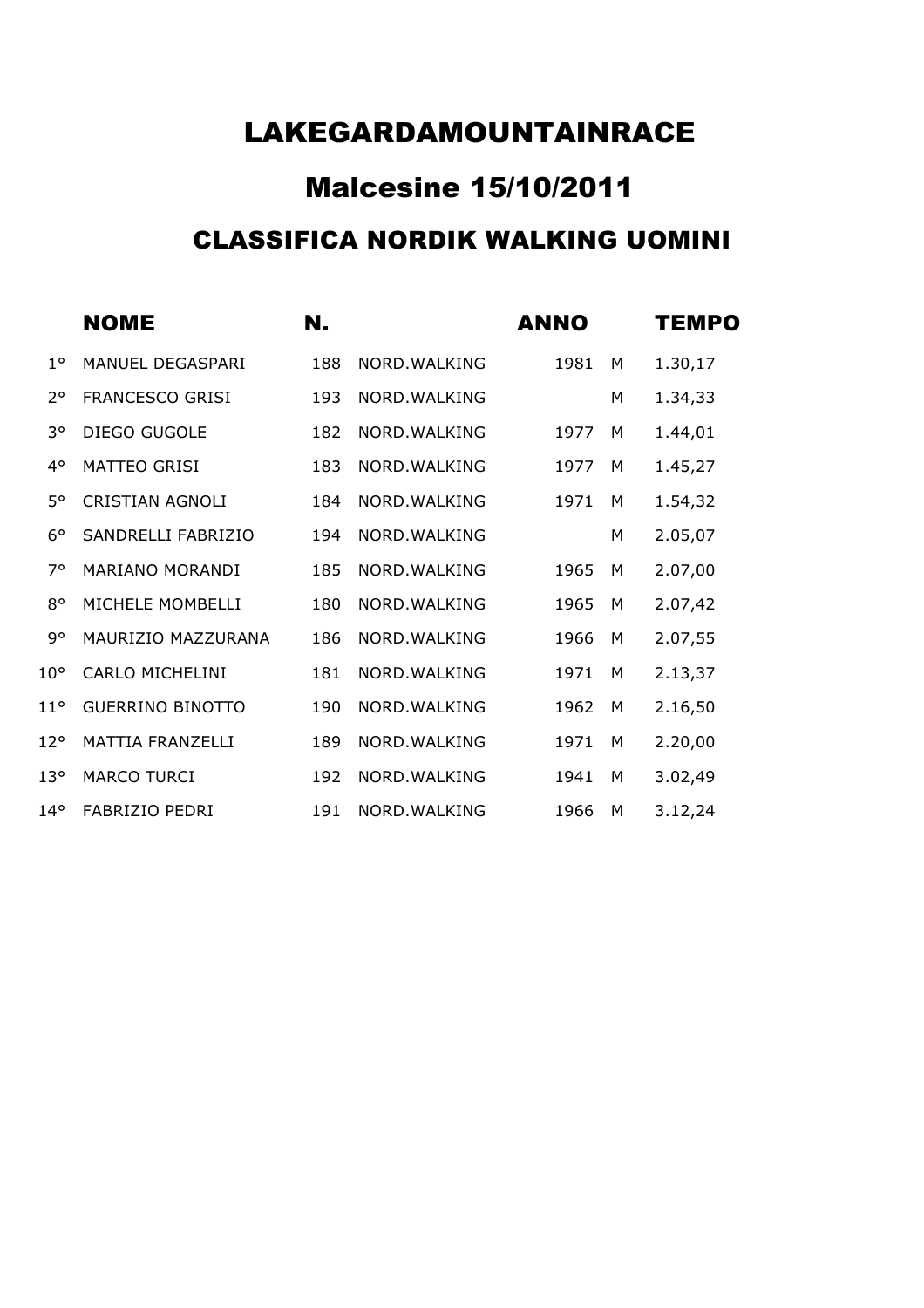## Malcesine 15/10/2011 CLASSIFICA NORDIK WALKING UOMINI

|                 | <b>NOME</b>             | N.  |               | <b>ANNO</b> |   | <b>TEMPO</b> |
|-----------------|-------------------------|-----|---------------|-------------|---|--------------|
| $1^{\circ}$     | MANUEL DEGASPARI        | 188 | NORD. WALKING | 1981        | M | 1.30,17      |
| $2^{\circ}$     | <b>FRANCESCO GRISI</b>  | 193 | NORD. WALKING |             | M | 1.34,33      |
| 3°              | <b>DIEGO GUGOLE</b>     | 182 | NORD. WALKING | 1977        | M | 1.44,01      |
| $4^{\circ}$     | <b>MATTEO GRISI</b>     | 183 | NORD. WALKING | 1977        | M | 1.45,27      |
| 5°              | <b>CRISTIAN AGNOLI</b>  | 184 | NORD. WALKING | 1971        | M | 1.54,32      |
| $6^{\circ}$     | SANDRELLI FABRIZIO      | 194 | NORD. WALKING |             | M | 2.05,07      |
| 7°              | <b>MARIANO MORANDI</b>  | 185 | NORD. WALKING | 1965        | M | 2.07,00      |
| $8^{\circ}$     | MICHELE MOMBELLI        | 180 | NORD. WALKING | 1965        | M | 2.07,42      |
| 9°              | MAURIZIO MAZZURANA      | 186 | NORD. WALKING | 1966        | M | 2.07,55      |
| $10^{\circ}$    | <b>CARLO MICHELINI</b>  | 181 | NORD. WALKING | 1971        | М | 2.13,37      |
| $11^{\circ}$    | <b>GUERRINO BINOTTO</b> | 190 | NORD. WALKING | 1962        | M | 2.16,50      |
| $12^{\circ}$    | <b>MATTIA FRANZELLI</b> | 189 | NORD. WALKING | 1971        | M | 2.20,00      |
| 13 <sup>°</sup> | <b>MARCO TURCI</b>      | 192 | NORD. WALKING | 1941        | M | 3.02,49      |
| $14^{\circ}$    | <b>FABRIZIO PEDRI</b>   | 191 | NORD. WALKING | 1966        | M | 3.12,24      |